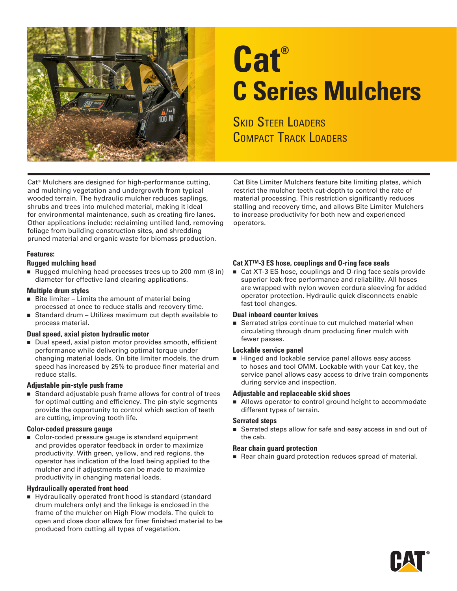

# **Cat® C Series Mulchers**

**SKID STEER LOADERS** COMPACT TRACK LOADERS

Cat® Mulchers are designed for high-performance cutting, and mulching vegetation and undergrowth from typical wooded terrain. The hydraulic mulcher reduces saplings, shrubs and trees into mulched material, making it ideal for environmental maintenance, such as creating fire lanes. Other applications include: reclaiming untilled land, removing foliage from building construction sites, and shredding pruned material and organic waste for biomass production.

#### **Features:**

#### **Rugged mulching head**

■ Rugged mulching head processes trees up to 200 mm (8 in) diameter for effective land clearing applications.

#### **Multiple drum styles**

- $\blacksquare$  Bite limiter Limits the amount of material being processed at once to reduce stalls and recovery time.
- Standard drum Utilizes maximum cut depth available to process material.

#### **Dual speed, axial piston hydraulic motor**

■ Dual speed, axial piston motor provides smooth, efficient performance while delivering optimal torque under changing material loads. On bite limiter models, the drum speed has increased by 25% to produce finer material and reduce stalls.

#### **Adjustable pin-style push frame**

■ Standard adjustable push frame allows for control of trees for optimal cutting and efficiency. The pin-style segments provide the opportunity to control which section of teeth are cutting, improving tooth life.

#### **Color-coded pressure gauge**

■ Color-coded pressure gauge is standard equipment and provides operator feedback in order to maximize productivity. With green, yellow, and red regions, the operator has indication of the load being applied to the mulcher and if adjustments can be made to maximize productivity in changing material loads.

#### **Hydraulically operated front hood**

n Hydraulically operated front hood is standard (standard drum mulchers only) and the linkage is enclosed in the frame of the mulcher on High Flow models. The quick to open and close door allows for finer finished material to be produced from cutting all types of vegetation.

Cat Bite Limiter Mulchers feature bite limiting plates, which restrict the mulcher teeth cut-depth to control the rate of material processing. This restriction significantly reduces stalling and recovery time, and allows Bite Limiter Mulchers to increase productivity for both new and experienced operators.

#### **Cat XT™-3 ES hose, couplings and O-ring face seals**

■ Cat XT-3 ES hose, couplings and O-ring face seals provide superior leak-free performance and reliability. All hoses are wrapped with nylon woven cordura sleeving for added operator protection. Hydraulic quick disconnects enable fast tool changes.

#### **Dual inboard counter knives**

■ Serrated strips continue to cut mulched material when circulating through drum producing finer mulch with fewer passes.

#### **Lockable service panel**

■ Hinged and lockable service panel allows easy access to hoses and tool OMM. Lockable with your Cat key, the service panel allows easy access to drive train components during service and inspection.

#### **Adjustable and replaceable skid shoes**

■ Allows operator to control ground height to accommodate different types of terrain.

#### **Serrated steps**

■ Serrated steps allow for safe and easy access in and out of the cab.

#### **Rear chain guard protection**

Rear chain guard protection reduces spread of material.

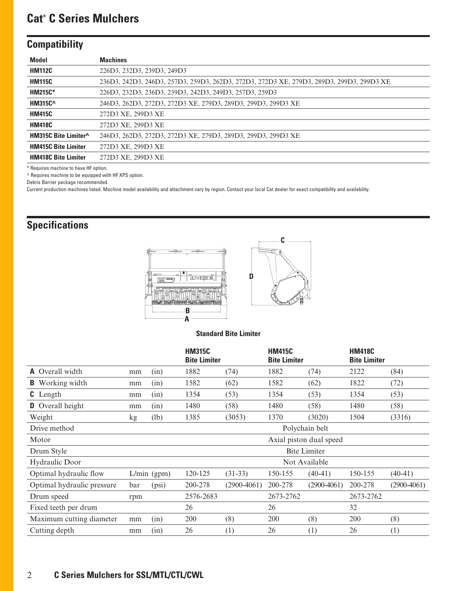## **Cat® C Series Mulchers**

## **Compatibility**

| <b>Model</b>               | <b>Machines</b>                                                                          |
|----------------------------|------------------------------------------------------------------------------------------|
| <b>HM112C</b>              | 226D3, 232D3, 239D3, 249D3                                                               |
| <b>HM115C</b>              | 236D3, 242D3, 246D3, 257D3, 259D3, 262D3, 272D3, 272D3 XE, 279D3, 289D3, 299D3, 299D3 XE |
| <b>HM215C*</b>             | 226D3, 232D3, 236D3, 239D3, 242D3, 249D3, 257D3, 259D3                                   |
| <b>HM315C^</b>             | 246D3, 262D3, 272D3, 272D3 XE, 279D3, 289D3, 299D3, 299D3 XE                             |
| <b>HM415C</b>              | 272D3 XE, 299D3 XE                                                                       |
| <b>HM418C</b>              | 272D3 XE, 299D3 XE                                                                       |
| HM315C Bite Limiter^       | 246D3, 262D3, 272D3, 272D3 XE, 279D3, 289D3, 299D3, 299D3 XE                             |
| <b>HM415C Bite Limiter</b> | 272D3 XE, 299D3 XE                                                                       |
| <b>HM418C Bite Limiter</b> | 272D3 XE, 299D3 XE                                                                       |

\* Requires machine to have HF option.

^ Requires machine to be equipped with HF XPS option.

Debris Barrier package recommended.

Current production machines listed. Machine model availability and attachment vary by region. Contact your local Cat dealer for exact compatibility and availability.

## **Specifications**



#### **Standard Bite Limiter**

|                            |                |               | <b>HM315C</b><br><b>Bite Limiter</b> |               | <b>HM415C</b><br><b>Bite Limiter</b> |                         | <b>HM418C</b><br><b>Bite Limiter</b> |               |
|----------------------------|----------------|---------------|--------------------------------------|---------------|--------------------------------------|-------------------------|--------------------------------------|---------------|
| <b>A</b> Overall width     | mm             | (in)          | 1882                                 | (74)          | 1882                                 | (74)                    | 2122                                 | (84)          |
| <b>B</b> Working width     | mm             | (in)          | 1582                                 | (62)          | 1582                                 | (62)                    | 1822                                 | (72)          |
| <b>C</b> Length            | mm             | (in)          | 1354                                 | (53)          | 1354                                 | (53)                    | 1354                                 | (53)          |
| <b>D</b> Overall height    | mm             | (in)          | 1480                                 | (58)          | 1480                                 | (58)                    | 1480                                 | (58)          |
| Weight                     | kg             | (lb)          | 1385                                 | (3053)        | 1370                                 | (3020)                  | 1504                                 | (3316)        |
| Drive method               | Polychain belt |               |                                      |               |                                      |                         |                                      |               |
| Motor                      |                |               |                                      |               |                                      | Axial piston dual speed |                                      |               |
| Drum Style                 |                |               |                                      |               |                                      | <b>Bite Limiter</b>     |                                      |               |
| Hydraulic Door             | Not Available  |               |                                      |               |                                      |                         |                                      |               |
| Optimal hydraulic flow     |                | $L/min$ (gpm) | 120-125                              | $(31-33)$     | 150-155                              | $(40-41)$               | 150-155                              | $(40-41)$     |
| Optimal hydraulic pressure | bar            | (psi)         | 200-278                              | $(2900-4061)$ | 200-278                              | $(2900-4061)$           | 200-278                              | $(2900-4061)$ |
| Drum speed                 | rpm            |               | 2576-2683                            |               | 2673-2762                            |                         | 2673-2762                            |               |
| Fixed teeth per drum       |                |               | 26                                   |               | 26                                   |                         | 32                                   |               |
| Maximum cutting diameter   | mm             | (in)          | 200                                  | (8)           | 200                                  | (8)                     | 200                                  | (8)           |
| Cutting depth              | mm             | (in)          | 26                                   | (1)           | 26                                   | (1)                     | 26                                   | (1)           |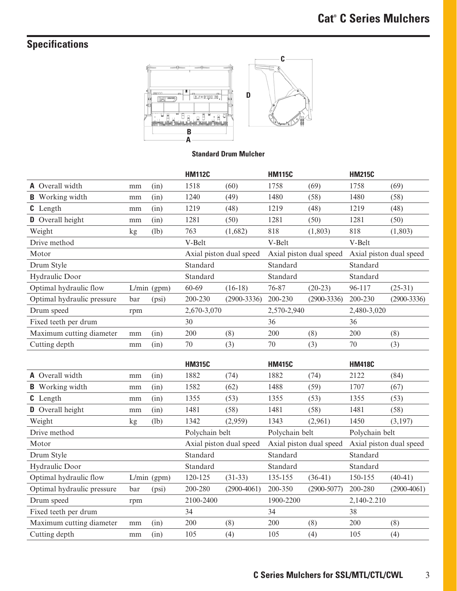## **Specifications**



### **Standard Drum Mulcher**

|                            |     |                         | <b>HM112C</b> |                         | <b>HM115C</b> |                         | <b>HM215C</b> |                 |
|----------------------------|-----|-------------------------|---------------|-------------------------|---------------|-------------------------|---------------|-----------------|
| <b>A</b> Overall width     | mm  | (in)                    | 1518          | (60)                    | 1758          | (69)                    | 1758          | (69)            |
| Working width<br>B.        | mm  | (in)                    | 1240          | (49)                    | 1480          | (58)                    | 1480          | (58)            |
| <b>C</b> Length            | mm  | (in)                    | 1219          | (48)                    | 1219          | (48)                    | 1219          | (48)            |
| <b>D</b> Overall height    | mm  | (in)                    | 1281          | (50)                    | 1281          | (50)                    | 1281          | (50)            |
| Weight                     | kg  | (lb)                    | 763           | (1,682)                 | 818           | (1,803)                 | 818           | (1,803)         |
| Drive method               |     |                         | V-Belt        |                         | V-Belt        |                         | V-Belt        |                 |
| Motor                      |     | Axial piston dual speed |               | Axial piston dual speed |               | Axial piston dual speed |               |                 |
| Drum Style                 |     |                         | Standard      |                         | Standard      |                         | Standard      |                 |
|                            |     |                         |               |                         |               |                         |               |                 |
| Hydraulic Door             |     |                         | Standard      |                         | Standard      |                         | Standard      |                 |
| Optimal hydraulic flow     |     | $L/min$ (gpm)           | 60-69         | $(16-18)$               | 76-87         | $(20-23)$               | 96-117        | $(25-31)$       |
| Optimal hydraulic pressure | bar | (psi)                   | 200-230       | $(2900 - 3336)$         | 200-230       | $(2900-3336)$           | 200-230       | $(2900 - 3336)$ |
| Drum speed                 | rpm |                         | 2,670-3,070   |                         | 2,570-2,940   |                         | 2,480-3,020   |                 |
| Fixed teeth per drum       |     |                         | 30            |                         | 36            |                         | 36            |                 |
| Maximum cutting diameter   | mm  | (in)                    | 200           | (8)                     | 200           | (8)                     | 200           | (8)             |

|                            |     |               | <b>HM315C</b>  |                         | <b>HM415C</b>  |                         | <b>HM418C</b>  |                         |
|----------------------------|-----|---------------|----------------|-------------------------|----------------|-------------------------|----------------|-------------------------|
| <b>A</b> Overall width     | mm  | (in)          | 1882           | (74)                    | 1882           | (74)                    | 2122           | (84)                    |
| <b>B</b> Working width     | mm  | (in)          | 1582           | (62)                    | 1488           | (59)                    | 1707           | (67)                    |
| <b>C</b> Length            | mm  | (in)          | 1355           | (53)                    | 1355           | (53)                    | 1355           | (53)                    |
| <b>D</b> Overall height    | mm  | (in)          | 1481           | (58)                    | 1481           | (58)                    | 1481           | (58)                    |
| Weight                     | kg  | (lb)          | 1342           | (2,959)                 | 1343           | (2,961)                 | 1450           | (3,197)                 |
| Drive method               |     |               | Polychain belt |                         | Polychain belt |                         | Polychain belt |                         |
| Motor                      |     |               |                | Axial piston dual speed |                | Axial piston dual speed |                | Axial piston dual speed |
| Drum Style                 |     |               | Standard       |                         | Standard       |                         | Standard       |                         |
| Hydraulic Door             |     |               | Standard       |                         | Standard       |                         | Standard       |                         |
| Optimal hydraulic flow     |     | $L/min$ (gpm) | 120-125        | $(31-33)$               | 135-155        | $(36-41)$               | 150-155        | $(40-41)$               |
| Optimal hydraulic pressure | bar | (psi)         | 200-280        | $(2900-4061)$           | 200-350        | $(2900 - 5077)$         | 200-280        | $(2900-4061)$           |
| Drum speed                 | rpm |               | 2100-2400      |                         | 1900-2200      |                         | 2,140-2.210    |                         |
| Fixed teeth per drum       |     |               | 34             |                         | 34             |                         | 38             |                         |
| Maximum cutting diameter   | mm  | (in)          | 200            | (8)                     | 200            | (8)                     | 200            | (8)                     |
| Cutting depth              | mm  | (in)          | 105            | (4)                     | 105            | (4)                     | 105            | (4)                     |